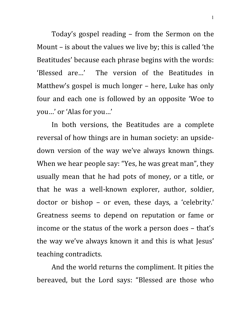Today's gospel reading – from the Sermon on the Mount – is about the values we live by; this is called 'the Beatitudes' because each phrase begins with the words: 'Blessed are…' The version of the Beatitudes in Matthew's gospel is much longer – here, Luke has only four and each one is followed by an opposite 'Woe to you…' or 'Alas for you…'

In both versions, the Beatitudes are a complete reversal of how things are in human society: an upsidedown version of the way we've always known things. When we hear people say: "Yes, he was great man", they usually mean that he had pots of money, or a title, or that he was a well-known explorer, author, soldier, doctor or bishop – or even, these days, a 'celebrity.' Greatness seems to depend on reputation or fame or income or the status of the work a person does – that's the way we've always known it and this is what Jesus' teaching contradicts.

And the world returns the compliment. It pities the bereaved, but the Lord says: "Blessed are those who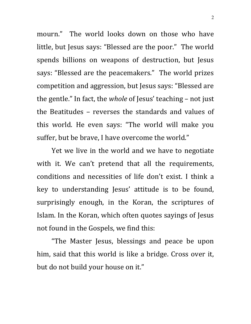mourn." The world looks down on those who have little, but Jesus says: "Blessed are the poor." The world spends billions on weapons of destruction, but Jesus says: "Blessed are the peacemakers." The world prizes competition and aggression, but Jesus says: "Blessed are the gentle." In fact, the *whole* of Jesus' teaching – not just the Beatitudes – reverses the standards and values of this world. He even says: "The world will make you suffer, but be brave, I have overcome the world."

Yet we live in the world and we have to negotiate with it. We can't pretend that all the requirements, conditions and necessities of life don't exist. I think a key to understanding Jesus' attitude is to be found, surprisingly enough, in the Koran, the scriptures of Islam. In the Koran, which often quotes sayings of Jesus not found in the Gospels, we find this:

"The Master Jesus, blessings and peace be upon him, said that this world is like a bridge. Cross over it, but do not build your house on it."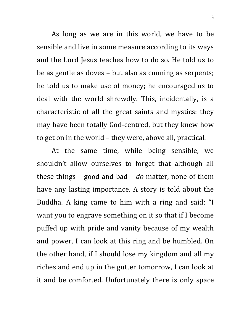As long as we are in this world, we have to be sensible and live in some measure according to its ways and the Lord Jesus teaches how to do so. He told us to be as gentle as doves – but also as cunning as serpents; he told us to make use of money; he encouraged us to deal with the world shrewdly. This, incidentally, is a characteristic of all the great saints and mystics: they may have been totally God-centred, but they knew how to get on in the world – they were, above all, practical.

At the same time, while being sensible, we shouldn't allow ourselves to forget that although all these things – good and bad – *do* matter, none of them have any lasting importance. A story is told about the Buddha. A king came to him with a ring and said: "I want you to engrave something on it so that if I become puffed up with pride and vanity because of my wealth and power, I can look at this ring and be humbled. On the other hand, if I should lose my kingdom and all my riches and end up in the gutter tomorrow, I can look at it and be comforted. Unfortunately there is only space